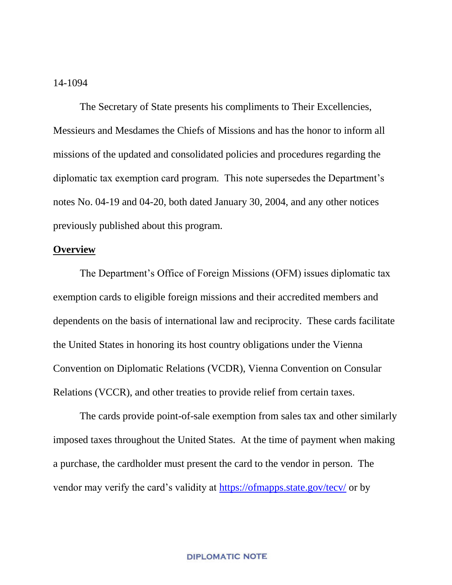#### 14-1094

The Secretary of State presents his compliments to Their Excellencies, Messieurs and Mesdames the Chiefs of Missions and has the honor to inform all missions of the updated and consolidated policies and procedures regarding the diplomatic tax exemption card program. This note supersedes the Department's notes No. 04-19 and 04-20, both dated January 30, 2004, and any other notices previously published about this program.

### **Overview**

The Department's Office of Foreign Missions (OFM) issues diplomatic tax exemption cards to eligible foreign missions and their accredited members and dependents on the basis of international law and reciprocity. These cards facilitate the United States in honoring its host country obligations under the Vienna Convention on Diplomatic Relations (VCDR), Vienna Convention on Consular Relations (VCCR), and other treaties to provide relief from certain taxes.

The cards provide point-of-sale exemption from sales tax and other similarly imposed taxes throughout the United States. At the time of payment when making a purchase, the cardholder must present the card to the vendor in person. The vendor may verify the card's validity at https://ofmapps.state.gov/tecv/ or by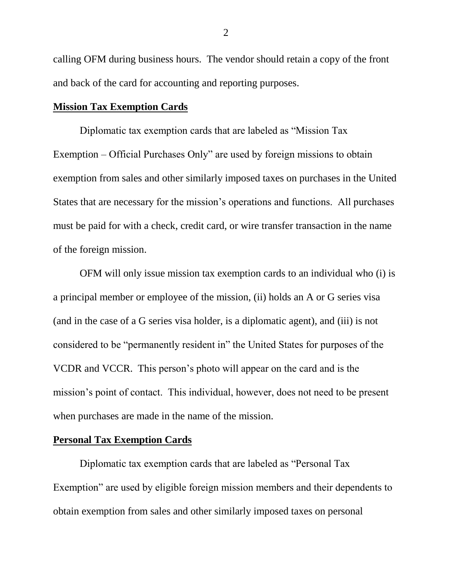calling OFM during business hours. The vendor should retain a copy of the front and back of the card for accounting and reporting purposes.

## **Mission Tax Exemption Cards**

Diplomatic tax exemption cards that are labeled as "Mission Tax Exemption – Official Purchases Only" are used by foreign missions to obtain exemption from sales and other similarly imposed taxes on purchases in the United States that are necessary for the mission's operations and functions. All purchases must be paid for with a check, credit card, or wire transfer transaction in the name of the foreign mission.

OFM will only issue mission tax exemption cards to an individual who (i) is a principal member or employee of the mission, (ii) holds an A or G series visa (and in the case of a G series visa holder, is a diplomatic agent), and (iii) is not considered to be "permanently resident in" the United States for purposes of the VCDR and VCCR. This person's photo will appear on the card and is the mission's point of contact. This individual, however, does not need to be present when purchases are made in the name of the mission.

# **Personal Tax Exemption Cards**

Diplomatic tax exemption cards that are labeled as "Personal Tax Exemption" are used by eligible foreign mission members and their dependents to obtain exemption from sales and other similarly imposed taxes on personal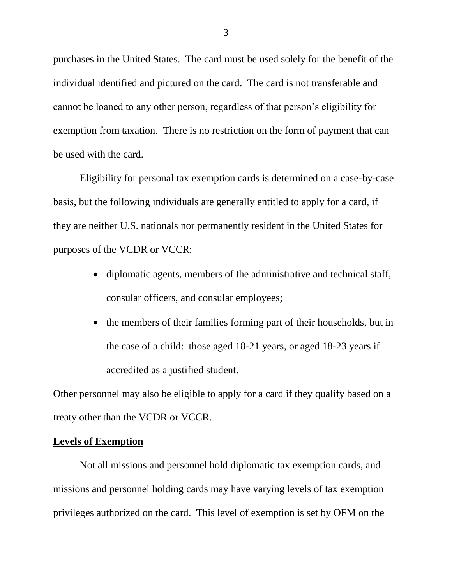purchases in the United States. The card must be used solely for the benefit of the individual identified and pictured on the card. The card is not transferable and cannot be loaned to any other person, regardless of that person's eligibility for exemption from taxation. There is no restriction on the form of payment that can be used with the card.

Eligibility for personal tax exemption cards is determined on a case-by-case basis, but the following individuals are generally entitled to apply for a card, if they are neither U.S. nationals nor permanently resident in the United States for purposes of the VCDR or VCCR:

- diplomatic agents, members of the administrative and technical staff, consular officers, and consular employees;
- the members of their families forming part of their households, but in the case of a child: those aged 18-21 years, or aged 18-23 years if accredited as a justified student.

Other personnel may also be eligible to apply for a card if they qualify based on a treaty other than the VCDR or VCCR.

#### **Levels of Exemption**

Not all missions and personnel hold diplomatic tax exemption cards, and missions and personnel holding cards may have varying levels of tax exemption privileges authorized on the card. This level of exemption is set by OFM on the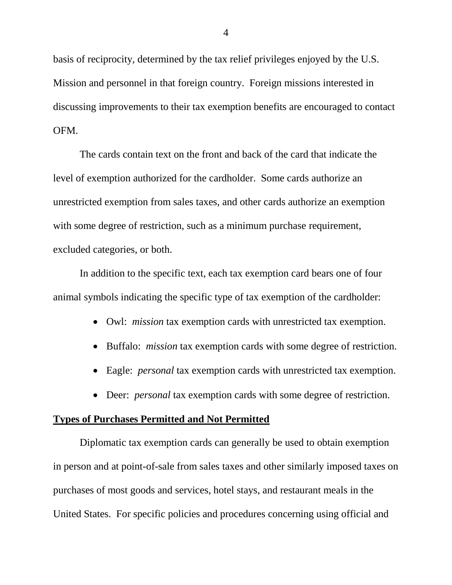basis of reciprocity, determined by the tax relief privileges enjoyed by the U.S. Mission and personnel in that foreign country. Foreign missions interested in discussing improvements to their tax exemption benefits are encouraged to contact OFM.

The cards contain text on the front and back of the card that indicate the level of exemption authorized for the cardholder. Some cards authorize an unrestricted exemption from sales taxes, and other cards authorize an exemption with some degree of restriction, such as a minimum purchase requirement, excluded categories, or both.

In addition to the specific text, each tax exemption card bears one of four animal symbols indicating the specific type of tax exemption of the cardholder:

- Owl: *mission* tax exemption cards with unrestricted tax exemption.
- Buffalo: *mission* tax exemption cards with some degree of restriction.
- Eagle: *personal* tax exemption cards with unrestricted tax exemption.
- Deer: *personal* tax exemption cards with some degree of restriction.

### **Types of Purchases Permitted and Not Permitted**

Diplomatic tax exemption cards can generally be used to obtain exemption in person and at point-of-sale from sales taxes and other similarly imposed taxes on purchases of most goods and services, hotel stays, and restaurant meals in the United States. For specific policies and procedures concerning using official and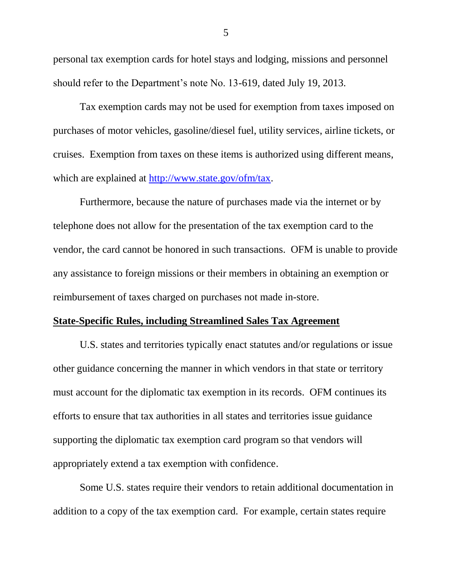personal tax exemption cards for hotel stays and lodging, missions and personnel should refer to the Department's note No. 13-619, dated July 19, 2013.

Tax exemption cards may not be used for exemption from taxes imposed on purchases of motor vehicles, gasoline/diesel fuel, utility services, airline tickets, or cruises. Exemption from taxes on these items is authorized using different means, which are explained at http://www.state.gov/ofm/tax.

Furthermore, because the nature of purchases made via the internet or by telephone does not allow for the presentation of the tax exemption card to the vendor, the card cannot be honored in such transactions. OFM is unable to provide any assistance to foreign missions or their members in obtaining an exemption or reimbursement of taxes charged on purchases not made in-store.

#### **State-Specific Rules, including Streamlined Sales Tax Agreement**

U.S. states and territories typically enact statutes and/or regulations or issue other guidance concerning the manner in which vendors in that state or territory must account for the diplomatic tax exemption in its records. OFM continues its efforts to ensure that tax authorities in all states and territories issue guidance supporting the diplomatic tax exemption card program so that vendors will appropriately extend a tax exemption with confidence.

Some U.S. states require their vendors to retain additional documentation in addition to a copy of the tax exemption card. For example, certain states require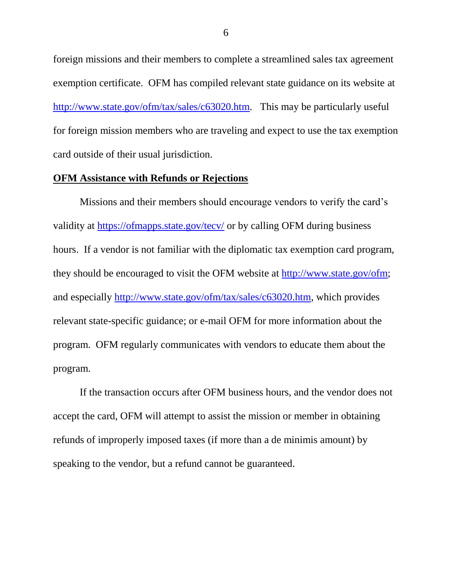foreign missions and their members to complete a streamlined sales tax agreement exemption certificate. OFM has compiled relevant state guidance on its website at http://www.state.gov/ofm/tax/sales/c63020.htm. This may be particularly useful for foreign mission members who are traveling and expect to use the tax exemption card outside of their usual jurisdiction.

#### **OFM Assistance with Refunds or Rejections**

Missions and their members should encourage vendors to verify the card's validity at https://ofmapps.state.gov/tecv/ or by calling OFM during business hours. If a vendor is not familiar with the diplomatic tax exemption card program, they should be encouraged to visit the OFM website at http://www.state.gov/ofm; and especially http://www.state.gov/ofm/tax/sales/c63020.htm, which provides relevant state-specific guidance; or e-mail OFM for more information about the program. OFM regularly communicates with vendors to educate them about the program.

If the transaction occurs after OFM business hours, and the vendor does not accept the card, OFM will attempt to assist the mission or member in obtaining refunds of improperly imposed taxes (if more than a de minimis amount) by speaking to the vendor, but a refund cannot be guaranteed.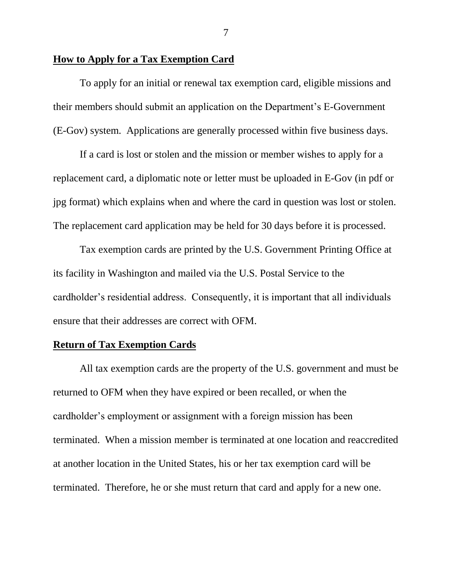## **How to Apply for a Tax Exemption Card**

To apply for an initial or renewal tax exemption card, eligible missions and their members should submit an application on the Department's E-Government (E-Gov) system. Applications are generally processed within five business days.

If a card is lost or stolen and the mission or member wishes to apply for a replacement card, a diplomatic note or letter must be uploaded in E-Gov (in pdf or jpg format) which explains when and where the card in question was lost or stolen. The replacement card application may be held for 30 days before it is processed.

Tax exemption cards are printed by the U.S. Government Printing Office at its facility in Washington and mailed via the U.S. Postal Service to the cardholder's residential address. Consequently, it is important that all individuals ensure that their addresses are correct with OFM.

#### **Return of Tax Exemption Cards**

All tax exemption cards are the property of the U.S. government and must be returned to OFM when they have expired or been recalled, or when the cardholder's employment or assignment with a foreign mission has been terminated. When a mission member is terminated at one location and reaccredited at another location in the United States, his or her tax exemption card will be terminated. Therefore, he or she must return that card and apply for a new one.

7